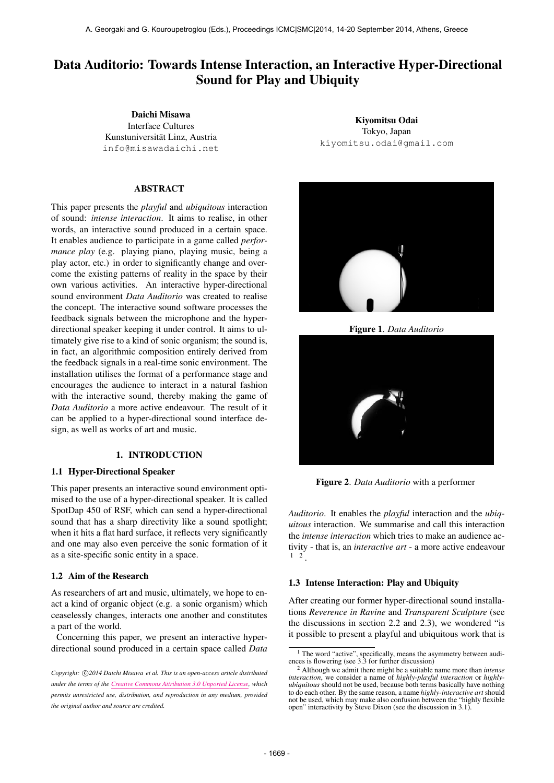# Data Auditorio: Towards Intense Interaction, an Interactive Hyper-Directional Sound for Play and Ubiquity

Daichi Misawa Interface Cultures Kunstuniversität Linz, Austria [info@misawadaichi.net](mailto:info@misawadaichi.net)

# ABSTRACT

This paper presents the *playful* and *ubiquitous* interaction of sound: *intense interaction*. It aims to realise, in other words, an interactive sound produced in a certain space. It enables audience to participate in a game called *performance play* (e.g. playing piano, playing music, being a play actor, etc.) in order to significantly change and overcome the existing patterns of reality in the space by their own various activities. An interactive hyper-directional sound environment *Data Auditorio* was created to realise the concept. The interactive sound software processes the feedback signals between the microphone and the hyperdirectional speaker keeping it under control. It aims to ultimately give rise to a kind of sonic organism; the sound is, in fact, an algorithmic composition entirely derived from the feedback signals in a real-time sonic environment. The installation utilises the format of a performance stage and encourages the audience to interact in a natural fashion with the interactive sound, thereby making the game of *Data Auditorio* a more active endeavour. The result of it can be applied to a hyper-directional sound interface design, as well as works of art and music.

# 1. INTRODUCTION

### 1.1 Hyper-Directional Speaker

This paper presents an interactive sound environment optimised to the use of a hyper-directional speaker. It is called SpotDap 450 of RSF, which can send a hyper-directional sound that has a sharp directivity like a sound spotlight; when it hits a flat hard surface, it reflects very significantly and one may also even perceive the sonic formation of it as a site-specific sonic entity in a space.

#### 1.2 Aim of the Research

As researchers of art and music, ultimately, we hope to enact a kind of organic object (e.g. a sonic organism) which ceaselessly changes, interacts one another and constitutes a part of the world.

Concerning this paper, we present an interactive hyperdirectional sound produced in a certain space called *Data*

Kiyomitsu Odai Tokyo, Japan [kiyomitsu.odai@gmail.com](mailto:kiyomitsu.odai@gmail.com)



Figure 1. *Data Auditorio*



Figure 2. *Data Auditorio* with a performer

*Auditorio*. It enables the *playful* interaction and the *ubiquitous* interaction. We summarise and call this interaction the *intense interaction* which tries to make an audience activity - that is, an *interactive art* - a more active endeavour  $1 \quad 2$ .

#### 1.3 Intense Interaction: Play and Ubiquity

After creating our former hyper-directional sound installations *Reverence in Ravine* and *Transparent Sculpture* (see the discussions in section 2.2 and 2.3), we wondered "is it possible to present a playful and ubiquitous work that is

Copyright:  $\bigcirc$ 2014 Daichi Misawa et al. This is an open-access article distributed *under the terms of the [Creative Commons Attribution 3.0 Unported License,](http://creativecommons.org/licenses/by/3.0/) which permits unrestricted use, distribution, and reproduction in any medium, provided the original author and source are credited.*

<sup>&</sup>lt;sup>1</sup> The word "active", specifically, means the asymmetry between audi-<br>ences is flowering (see 3.3 for further discussion)

<sup>2</sup> Although we admit there might be a suitable name more than *intense interaction*, we consider a name of *highly-playful interaction* or *highlyubiquitous* should not be used, because both terms basically have nothing to do each other. By the same reason, a name *highly-interactive art* should not be used, which may make also confusion between the "highly flexible" open" interactivity by Steve Dixon (see the discussion in 3.1).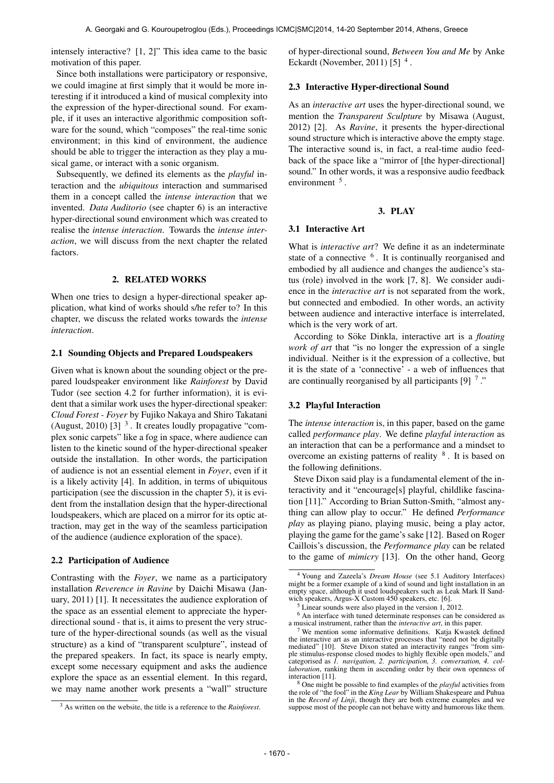intensely interactive? [1, 2]" This idea came to the basic motivation of this paper.

Since both installations were participatory or responsive, we could imagine at first simply that it would be more interesting if it introduced a kind of musical complexity into the expression of the hyper-directional sound. For example, if it uses an interactive algorithmic composition software for the sound, which "composes" the real-time sonic environment; in this kind of environment, the audience should be able to trigger the interaction as they play a musical game, or interact with a sonic organism.

Subsequently, we defined its elements as the *playful* interaction and the *ubiquitous* interaction and summarised them in a concept called the *intense interaction* that we invented. *Data Auditorio* (see chapter 6) is an interactive hyper-directional sound environment which was created to realise the *intense interaction*. Towards the *intense interaction*, we will discuss from the next chapter the related factors.

# 2. RELATED WORKS

When one tries to design a hyper-directional speaker application, what kind of works should s/he refer to? In this chapter, we discuss the related works towards the *intense interaction*.

#### 2.1 Sounding Objects and Prepared Loudspeakers

Given what is known about the sounding object or the prepared loudspeaker environment like *Rainforest* by David Tudor (see section 4.2 for further information), it is evident that a similar work uses the hyper-directional speaker: *Cloud Forest - Foyer* by Fujiko Nakaya and Shiro Takatani (August, 2010) [3]  $3$ . It creates loudly propagative "complex sonic carpets" like a fog in space, where audience can listen to the kinetic sound of the hyper-directional speaker outside the installation. In other words, the participation of audience is not an essential element in *Foyer*, even if it is a likely activity [4]. In addition, in terms of ubiquitous participation (see the discussion in the chapter 5), it is evident from the installation design that the hyper-directional loudspeakers, which are placed on a mirror for its optic attraction, may get in the way of the seamless participation of the audience (audience exploration of the space).

#### 2.2 Participation of Audience

Contrasting with the *Foyer*, we name as a participatory installation *Reverence in Ravine* by Daichi Misawa (January, 2011) [1]. It necessitates the audience exploration of the space as an essential element to appreciate the hyperdirectional sound - that is, it aims to present the very structure of the hyper-directional sounds (as well as the visual structure) as a kind of "transparent sculpture", instead of the prepared speakers. In fact, its space is nearly empty, except some necessary equipment and asks the audience explore the space as an essential element. In this regard, we may name another work presents a "wall" structure

of hyper-directional sound, *Between You and Me* by Anke Eckardt (November, 2011)  $[5]$  <sup>4</sup>.

#### 2.3 Interactive Hyper-directional Sound

As an *interactive art* uses the hyper-directional sound, we mention the *Transparent Sculpture* by Misawa (August, 2012) [2]. As *Ravine*, it presents the hyper-directional sound structure which is interactive above the empty stage. The interactive sound is, in fact, a real-time audio feedback of the space like a "mirror of [the hyper-directional] sound." In other words, it was a responsive audio feedback environment <sup>5</sup>.

# 3. PLAY

#### 3.1 Interactive Art

What is *interactive art*? We define it as an indeterminate state of a connective <sup>6</sup>. It is continually reorganised and embodied by all audience and changes the audience's status (role) involved in the work [7, 8]. We consider audience in the *interactive art* is not separated from the work, but connected and embodied. In other words, an activity between audience and interactive interface is interrelated, which is the very work of art.

According to Söke Dinkla, interactive art is a *floating work of art* that "is no longer the expression of a single individual. Neither is it the expression of a collective, but it is the state of a 'connective' - a web of influences that are continually reorganised by all participants [9]  $\frac{7}{1}$ ."

#### 3.2 Playful Interaction

The *intense interaction* is, in this paper, based on the game called *performance play*. We define *playful interaction* as an interaction that can be a performance and a mindset to overcome an existing patterns of reality <sup>8</sup>. It is based on the following definitions.

Steve Dixon said play is a fundamental element of the interactivity and it "encourage[s] playful, childlike fascination [11]." According to Brian Sutton-Smith, "almost anything can allow play to occur." He defined *Performance play* as playing piano, playing music, being a play actor, playing the game for the game's sake [12]. Based on Roger Caillois's discussion, the *Performance play* can be related to the game of *mimicry* [13]. On the other hand, Georg

<sup>3</sup> As written on the website, the title is a reference to the *Rainforest*.

<sup>4</sup> Young and Zazeela's *Dream House* (see 5.1 Auditory Interfaces) might be a former example of a kind of sound and light installation in an empty space, although it used loudspeakers such as Leak Mark II Sandwich speakers, Argus-X Custom 450 speakers, etc. [6].

<sup>5</sup> Linear sounds were also played in the version 1, 2012.

<sup>&</sup>lt;sup>6</sup> An interface with tuned determinate responses can be considered as a musical instrument, rather than the *interactive art*, in this paper.

We mention some informative definitions. Katja Kwastek defined the interactive art as an interactive processes that "need not be digitally mediated" [10]. Steve Dixon stated an interactivity ranges "from simple stimulus-response closed modes to highly flexible open models," and categorised as *1. navigation, 2. participation, 3. conversation, 4. collaboration*, ranking them in ascending order by their own openness of interaction [11].

<sup>8</sup> One might be possible to find examples of the *playful* activities from the role of "the fool" in the *King Lear* by William Shakespeare and Puhua in the *Record of Linji*, though they are both extreme examples and we suppose most of the people can not behave witty and humorous like them.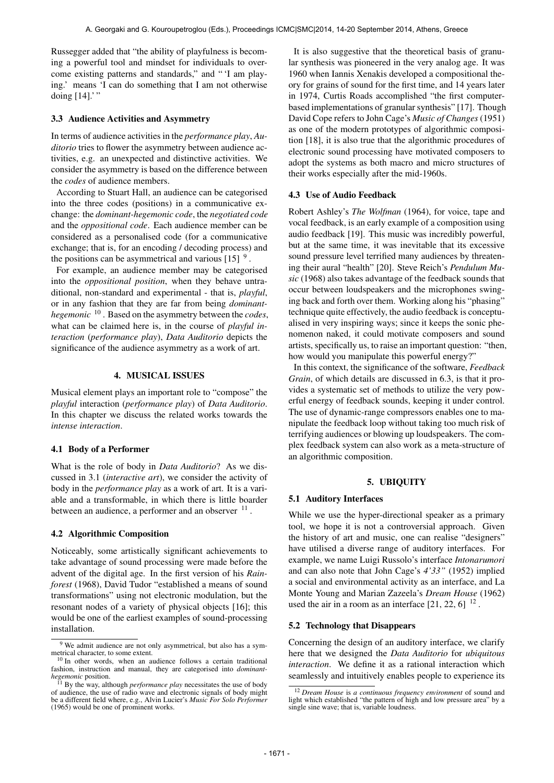Russegger added that "the ability of playfulness is becoming a powerful tool and mindset for individuals to overcome existing patterns and standards," and " 'I am playing.' means 'I can do something that I am not otherwise doing [14].' "

# 3.3 Audience Activities and Asymmetry

In terms of audience activities in the *performance play*, *Auditorio* tries to flower the asymmetry between audience activities, e.g. an unexpected and distinctive activities. We consider the asymmetry is based on the difference between the *codes* of audience members.

According to Stuart Hall, an audience can be categorised into the three codes (positions) in a communicative exchange: the *dominant-hegemonic code*, the *negotiated code* and the *oppositional code*. Each audience member can be considered as a personalised code (for a communicative exchange; that is, for an encoding / decoding process) and the positions can be asymmetrical and various  $[15]$ <sup>9</sup>.

For example, an audience member may be categorised into the *oppositional position*, when they behave untraditional, non-standard and experimental - that is, *playful*, or in any fashion that they are far from being *dominanthegemonic* 10 . Based on the asymmetry between the *codes*, what can be claimed here is, in the course of *playful interaction* (*performance play*), *Data Auditorio* depicts the significance of the audience asymmetry as a work of art.

#### 4. MUSICAL ISSUES

Musical element plays an important role to "compose" the *playful* interaction (*performance play*) of *Data Auditorio*. In this chapter we discuss the related works towards the *intense interaction*.

#### 4.1 Body of a Performer

What is the role of body in *Data Auditorio*? As we discussed in 3.1 (*interactive art*), we consider the activity of body in the *performance play* as a work of art. It is a variable and a transformable, in which there is little boarder between an audience, a performer and an observer  $11$ .

#### 4.2 Algorithmic Composition

Noticeably, some artistically significant achievements to take advantage of sound processing were made before the advent of the digital age. In the first version of his *Rainforest* (1968), David Tudor "established a means of sound transformations" using not electronic modulation, but the resonant nodes of a variety of physical objects [16]; this would be one of the earliest examples of sound-processing installation.

It is also suggestive that the theoretical basis of granular synthesis was pioneered in the very analog age. It was 1960 when Iannis Xenakis developed a compositional theory for grains of sound for the first time, and 14 years later in 1974, Curtis Roads accomplished "the first computerbased implementations of granular synthesis" [17]. Though David Cope refers to John Cage's *Music of Changes*(1951) as one of the modern prototypes of algorithmic composition [18], it is also true that the algorithmic procedures of electronic sound processing have motivated composers to adopt the systems as both macro and micro structures of their works especially after the mid-1960s.

#### 4.3 Use of Audio Feedback

Robert Ashley's *The Wolfman* (1964), for voice, tape and vocal feedback, is an early example of a composition using audio feedback [19]. This music was incredibly powerful, but at the same time, it was inevitable that its excessive sound pressure level terrified many audiences by threatening their aural "health" [20]. Steve Reich's *Pendulum Music* (1968) also takes advantage of the feedback sounds that occur between loudspeakers and the microphones swinging back and forth over them. Working along his "phasing" technique quite effectively, the audio feedback is conceptualised in very inspiring ways; since it keeps the sonic phenomenon naked, it could motivate composers and sound artists, specifically us, to raise an important question: "then, how would you manipulate this powerful energy?"

In this context, the significance of the software, *Feedback Grain*, of which details are discussed in 6.3, is that it provides a systematic set of methods to utilize the very powerful energy of feedback sounds, keeping it under control. The use of dynamic-range compressors enables one to manipulate the feedback loop without taking too much risk of terrifying audiences or blowing up loudspeakers. The complex feedback system can also work as a meta-structure of an algorithmic composition.

#### 5. UBIQUITY

#### 5.1 Auditory Interfaces

While we use the hyper-directional speaker as a primary tool, we hope it is not a controversial approach. Given the history of art and music, one can realise "designers" have utilised a diverse range of auditory interfaces. For example, we name Luigi Russolo's interface *Intonarumori* and can also note that John Cage's *4'33"* (1952) implied a social and environmental activity as an interface, and La Monte Young and Marian Zazeela's *Dream House* (1962) used the air in a room as an interface  $[21, 22, 6]$ <sup>12</sup>.

# 5.2 Technology that Disappears

Concerning the design of an auditory interface, we clarify here that we designed the *Data Auditorio* for *ubiquitous interaction*. We define it as a rational interaction which seamlessly and intuitively enables people to experience its

<sup>9</sup> We admit audience are not only asymmetrical, but also has a symmetrical character, to some extent.

<sup>10</sup> In other words, when an audience follows a certain traditional fashion, instruction and manual, they are categorised into *dominanthegemonic* position.

<sup>11</sup> By the way, although *performance play* necessitates the use of body of audience, the use of radio wave and electronic signals of body might be a different field where, e.g., Alvin Lucier's *Music For Solo Performer* (1965) would be one of prominent works.

<sup>&</sup>lt;sup>12</sup> *Dream House* is *a continuous frequency environment* of sound and light which established "the pattern of high and low pressure area" by a single sine wave; that is, variable loudness.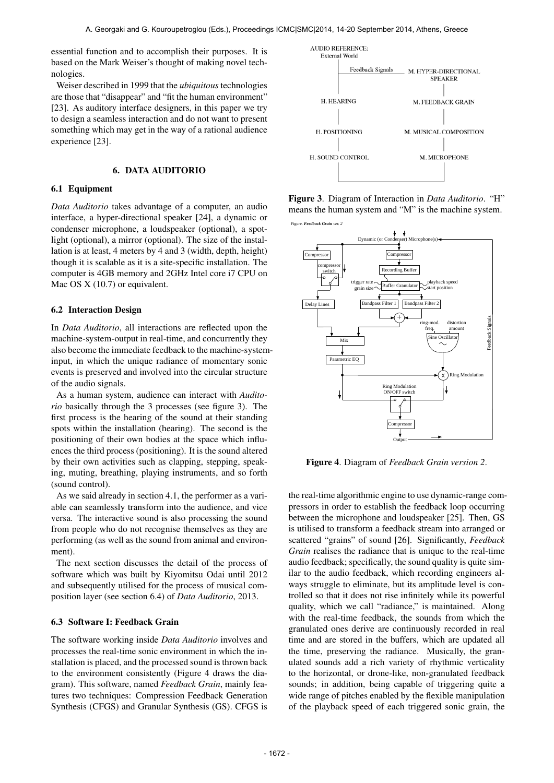essential function and to accomplish their purposes. It is based on the Mark Weiser's thought of making novel technologies.

Weiser described in 1999 that the *ubiquitous* technologies are those that "disappear" and "fit the human environment" [23]. As auditory interface designers, in this paper we try to design a seamless interaction and do not want to present something which may get in the way of a rational audience experience [23].

# 6. DATA AUDITORIO

# 6.1 Equipment

*Data Auditorio* takes advantage of a computer, an audio interface, a hyper-directional speaker [24], a dynamic or condenser microphone, a loudspeaker (optional), a spotlight (optional), a mirror (optional). The size of the installation is at least, 4 meters by 4 and 3 (width, depth, height) though it is scalable as it is a site-specific installation. The computer is 4GB memory and 2GHz Intel core i7 CPU on Mac OS X (10.7) or equivalent.

#### 6.2 Interaction Design

In *Data Auditorio*, all interactions are reflected upon the machine-system-output in real-time, and concurrently they also become the immediate feedback to the machine-systeminput, in which the unique radiance of momentary sonic events is preserved and involved into the circular structure of the audio signals.

As a human system, audience can interact with *Auditorio* basically through the 3 processes (see figure 3). The first process is the hearing of the sound at their standing spots within the installation (hearing). The second is the positioning of their own bodies at the space which influences the third process (positioning). It is the sound altered by their own activities such as clapping, stepping, speaking, muting, breathing, playing instruments, and so forth (sound control).

As we said already in section 4.1, the performer as a variable can seamlessly transform into the audience, and vice versa. The interactive sound is also processing the sound from people who do not recognise themselves as they are performing (as well as the sound from animal and environment).

The next section discusses the detail of the process of software which was built by Kiyomitsu Odai until 2012 and subsequently utilised for the process of musical composition layer (see section 6.4) of *Data Auditorio*, 2013.

### 6.3 Software I: Feedback Grain

The software working inside *Data Auditorio* involves and processes the real-time sonic environment in which the installation is placed, and the processed sound is thrown back to the environment consistently (Figure 4 draws the diagram). This software, named *Feedback Grain*, mainly features two techniques: Compression Feedback Generation Synthesis (CFGS) and Granular Synthesis (GS). CFGS is



Figure 3. Diagram of Interaction in *Data Auditorio*. "H" means the human system and "M" is the machine system. Figure. *Feedback Grain ver. 2*



Figure 4. Diagram of *Feedback Grain version 2*.

the real-time algorithmic engine to use dynamic-range compressors in order to establish the feedback loop occurring between the microphone and loudspeaker [25]. Then, GS is utilised to transform a feedback stream into arranged or scattered "grains" of sound [26]. Significantly, *Feedback Grain* realises the radiance that is unique to the real-time audio feedback; specifically, the sound quality is quite similar to the audio feedback, which recording engineers always struggle to eliminate, but its amplitude level is controlled so that it does not rise infinitely while its powerful quality, which we call "radiance," is maintained. Along with the real-time feedback, the sounds from which the granulated ones derive are continuously recorded in real time and are stored in the buffers, which are updated all the time, preserving the radiance. Musically, the granulated sounds add a rich variety of rhythmic verticality to the horizontal, or drone-like, non-granulated feedback sounds; in addition, being capable of triggering quite a wide range of pitches enabled by the flexible manipulation of the playback speed of each triggered sonic grain, the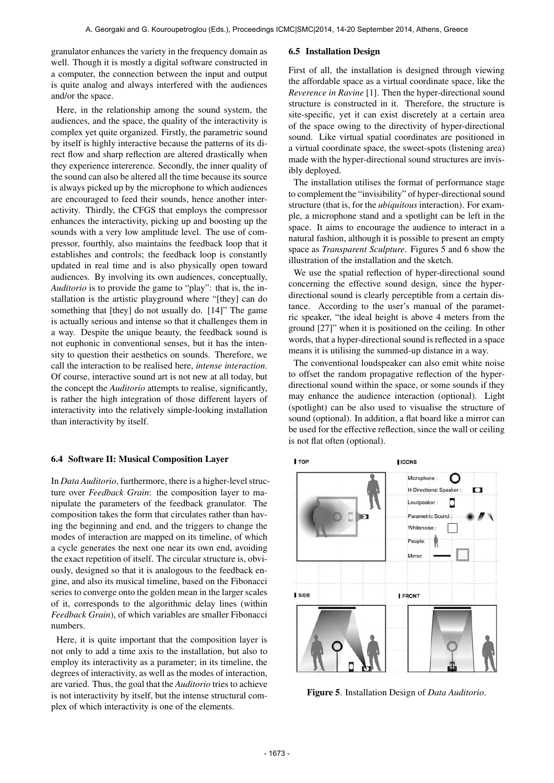granulator enhances the variety in the frequency domain as well. Though it is mostly a digital software constructed in a computer, the connection between the input and output is quite analog and always interfered with the audiences and/or the space.

Here, in the relationship among the sound system, the audiences, and the space, the quality of the interactivity is complex yet quite organized. Firstly, the parametric sound by itself is highly interactive because the patterns of its direct flow and sharp reflection are altered drastically when they experience intererence. Secondly, the inner quality of the sound can also be altered all the time because its source is always picked up by the microphone to which audiences are encouraged to feed their sounds, hence another interactivity. Thirdly, the CFGS that employs the compressor enhances the interactivity, picking up and boosting up the sounds with a very low amplitude level. The use of compressor, fourthly, also maintains the feedback loop that it establishes and controls; the feedback loop is constantly updated in real time and is also physically open toward audiences. By involving its own audiences, conceptually, *Auditorio* is to provide the game to "play": that is, the installation is the artistic playground where "[they] can do something that [they] do not usually do. [14]" The game is actually serious and intense so that it challenges them in a way. Despite the unique beauty, the feedback sound is not euphonic in conventional senses, but it has the intensity to question their aesthetics on sounds. Therefore, we call the interaction to be realised here, *intense interaction*. Of course, interactive sound art is not new at all today, but the concept the *Auditorio* attempts to realise, significantly, is rather the high integration of those different layers of interactivity into the relatively simple-looking installation than interactivity by itself.

#### 6.4 Software II: Musical Composition Layer

In *Data Auditorio*, furthermore, there is a higher-level structure over *Feedback Grain*: the composition layer to manipulate the parameters of the feedback granulator. The composition takes the form that circulates rather than having the beginning and end, and the triggers to change the modes of interaction are mapped on its timeline, of which a cycle generates the next one near its own end, avoiding the exact repetition of itself. The circular structure is, obviously, designed so that it is analogous to the feedback engine, and also its musical timeline, based on the Fibonacci series to converge onto the golden mean in the larger scales of it, corresponds to the algorithmic delay lines (within *Feedback Grain*), of which variables are smaller Fibonacci numbers.

Here, it is quite important that the composition layer is not only to add a time axis to the installation, but also to employ its interactivity as a parameter; in its timeline, the degrees of interactivity, as well as the modes of interaction, are varied. Thus, the goal that the *Auditorio* tries to achieve is not interactivity by itself, but the intense structural complex of which interactivity is one of the elements.

#### 6.5 Installation Design

First of all, the installation is designed through viewing the affordable space as a virtual coordinate space, like the *Reverence in Ravine* [1]. Then the hyper-directional sound structure is constructed in it. Therefore, the structure is site-specific, yet it can exist discretely at a certain area of the space owing to the directivity of hyper-directional sound. Like virtual spatial coordinates are positioned in a virtual coordinate space, the sweet-spots (listening area) made with the hyper-directional sound structures are invisibly deployed.

The installation utilises the format of performance stage to complement the "invisibility" of hyper-directional sound structure (that is, for the *ubiquitous* interaction). For example, a microphone stand and a spotlight can be left in the space. It aims to encourage the audience to interact in a natural fashion, although it is possible to present an empty space as *Transparent Sculpture*. Figures 5 and 6 show the illustration of the installation and the sketch.

We use the spatial reflection of hyper-directional sound concerning the effective sound design, since the hyperdirectional sound is clearly perceptible from a certain distance. According to the user's manual of the parametric speaker, "the ideal height is above 4 meters from the ground [27]" when it is positioned on the ceiling. In other words, that a hyper-directional sound is reflected in a space means it is utilising the summed-up distance in a way.

The conventional loudspeaker can also emit white noise to offset the random propagative reflection of the hyperdirectional sound within the space, or some sounds if they may enhance the audience interaction (optional). Light (spotlight) can be also used to visualise the structure of sound (optional). In addition, a flat board like a mirror can be used for the effective reflection, since the wall or ceiling is not flat often (optional).



Figure 5. Installation Design of *Data Auditorio*.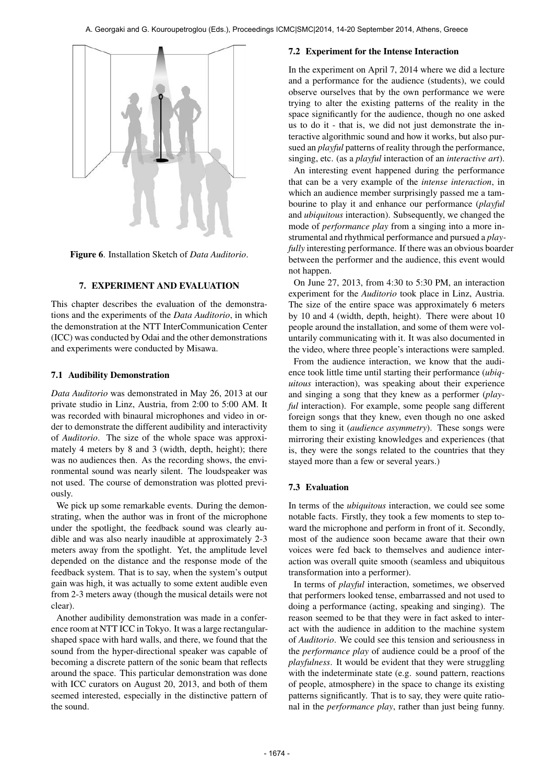

Figure 6. Installation Sketch of *Data Auditorio*.

# 7. EXPERIMENT AND EVALUATION

This chapter describes the evaluation of the demonstrations and the experiments of the *Data Auditorio*, in which the demonstration at the NTT InterCommunication Center (ICC) was conducted by Odai and the other demonstrations and experiments were conducted by Misawa.

# 7.1 Audibility Demonstration

*Data Auditorio* was demonstrated in May 26, 2013 at our private studio in Linz, Austria, from 2:00 to 5:00 AM. It was recorded with binaural microphones and video in order to demonstrate the different audibility and interactivity of *Auditorio*. The size of the whole space was approximately 4 meters by 8 and 3 (width, depth, height); there was no audiences then. As the recording shows, the environmental sound was nearly silent. The loudspeaker was not used. The course of demonstration was plotted previously.

We pick up some remarkable events. During the demonstrating, when the author was in front of the microphone under the spotlight, the feedback sound was clearly audible and was also nearly inaudible at approximately 2-3 meters away from the spotlight. Yet, the amplitude level depended on the distance and the response mode of the feedback system. That is to say, when the system's output gain was high, it was actually to some extent audible even from 2-3 meters away (though the musical details were not clear).

Another audibility demonstration was made in a conference room at NTT ICC in Tokyo. It was a large rectangularshaped space with hard walls, and there, we found that the sound from the hyper-directional speaker was capable of becoming a discrete pattern of the sonic beam that reflects around the space. This particular demonstration was done with ICC curators on August 20, 2013, and both of them seemed interested, especially in the distinctive pattern of the sound.

# 7.2 Experiment for the Intense Interaction

In the experiment on April 7, 2014 where we did a lecture and a performance for the audience (students), we could observe ourselves that by the own performance we were trying to alter the existing patterns of the reality in the space significantly for the audience, though no one asked us to do it - that is, we did not just demonstrate the interactive algorithmic sound and how it works, but also pursued an *playful* patterns of reality through the performance, singing, etc. (as a *playful* interaction of an *interactive art*).

An interesting event happened during the performance that can be a very example of the *intense interaction*, in which an audience member surprisingly passed me a tambourine to play it and enhance our performance (*playful* and *ubiquitous* interaction). Subsequently, we changed the mode of *performance play* from a singing into a more instrumental and rhythmical performance and pursued a *playfully* interesting performance. If there was an obvious boarder between the performer and the audience, this event would not happen.

On June 27, 2013, from 4:30 to 5:30 PM, an interaction experiment for the *Auditorio* took place in Linz, Austria. The size of the entire space was approximately 6 meters by 10 and 4 (width, depth, height). There were about 10 people around the installation, and some of them were voluntarily communicating with it. It was also documented in the video, where three people's interactions were sampled.

From the audience interaction, we know that the audience took little time until starting their performance (*ubiquitous* interaction), was speaking about their experience and singing a song that they knew as a performer (*playful* interaction). For example, some people sang different foreign songs that they knew, even though no one asked them to sing it (*audience asymmetry*). These songs were mirroring their existing knowledges and experiences (that is, they were the songs related to the countries that they stayed more than a few or several years.)

# 7.3 Evaluation

In terms of the *ubiquitous* interaction, we could see some notable facts. Firstly, they took a few moments to step toward the microphone and perform in front of it. Secondly, most of the audience soon became aware that their own voices were fed back to themselves and audience interaction was overall quite smooth (seamless and ubiquitous transformation into a performer).

In terms of *playful* interaction, sometimes, we observed that performers looked tense, embarrassed and not used to doing a performance (acting, speaking and singing). The reason seemed to be that they were in fact asked to interact with the audience in addition to the machine system of *Auditorio*. We could see this tension and seriousness in the *performance play* of audience could be a proof of the *playfulness*. It would be evident that they were struggling with the indeterminate state (e.g. sound pattern, reactions of people, atmosphere) in the space to change its existing patterns significantly. That is to say, they were quite rational in the *performance play*, rather than just being funny.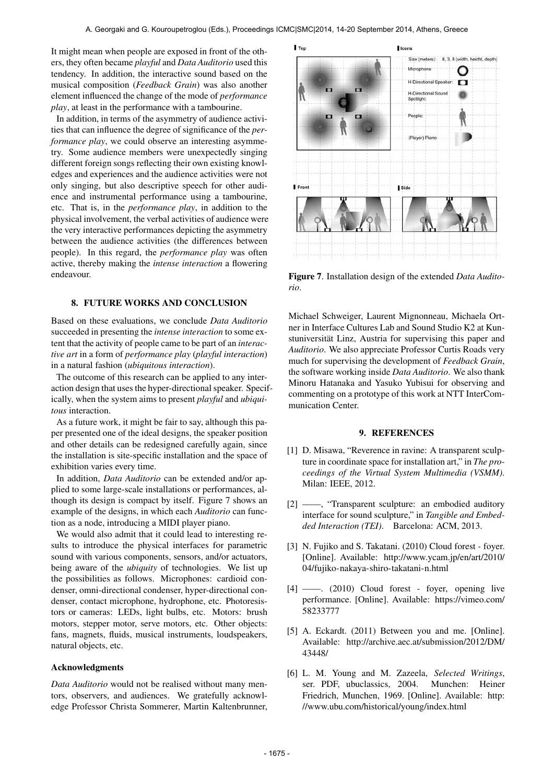It might mean when people are exposed in front of the others, they often became *playful* and *Data Auditorio* used this tendency. In addition, the interactive sound based on the musical composition (*Feedback Grain*) was also another element influenced the change of the mode of *performance play*, at least in the performance with a tambourine.

In addition, in terms of the asymmetry of audience activities that can influence the degree of significance of the *performance play*, we could observe an interesting asymmetry. Some audience members were unexpectedly singing different foreign songs reflecting their own existing knowledges and experiences and the audience activities were not only singing, but also descriptive speech for other audience and instrumental performance using a tambourine, etc. That is, in the *performance play*, in addition to the physical involvement, the verbal activities of audience were the very interactive performances depicting the asymmetry between the audience activities (the differences between people). In this regard, the *performance play* was often active, thereby making the *intense interaction* a flowering endeavour.

## 8. FUTURE WORKS AND CONCLUSION

Based on these evaluations, we conclude *Data Auditorio* succeeded in presenting the *intense interaction* to some extent that the activity of people came to be part of an *interactive art* in a form of *performance play* (*playful interaction*) in a natural fashion (*ubiquitous interaction*).

The outcome of this research can be applied to any interaction design that uses the hyper-directional speaker. Specifically, when the system aims to present *playful* and *ubiquitous* interaction.

As a future work, it might be fair to say, although this paper presented one of the ideal designs, the speaker position and other details can be redesigned carefully again, since the installation is site-specific installation and the space of exhibition varies every time.

In addition, *Data Auditorio* can be extended and/or applied to some large-scale installations or performances, although its design is compact by itself. Figure 7 shows an example of the designs, in which each *Auditorio* can function as a node, introducing a MIDI player piano.

We would also admit that it could lead to interesting results to introduce the physical interfaces for parametric sound with various components, sensors, and/or actuators, being aware of the *ubiquity* of technologies. We list up the possibilities as follows. Microphones: cardioid condenser, omni-directional condenser, hyper-directional condenser, contact microphone, hydrophone, etc. Photoresistors or cameras: LEDs, light bulbs, etc. Motors: brush motors, stepper motor, serve motors, etc. Other objects: fans, magnets, fluids, musical instruments, loudspeakers, natural objects, etc.

#### Acknowledgments

*Data Auditorio* would not be realised without many mentors, observers, and audiences. We gratefully acknowledge Professor Christa Sommerer, Martin Kaltenbrunner,



Figure 7. Installation design of the extended *Data Auditorio*.

Michael Schweiger, Laurent Mignonneau, Michaela Ortner in Interface Cultures Lab and Sound Studio K2 at Kunstuniversität Linz, Austria for supervising this paper and *Auditorio*. We also appreciate Professor Curtis Roads very much for supervising the development of *Feedback Grain*, the software working inside *Data Auditorio*. We also thank Minoru Hatanaka and Yasuko Yubisui for observing and commenting on a prototype of this work at NTT InterCommunication Center.

#### 9. REFERENCES

- [1] D. Misawa, "Reverence in ravine: A transparent sculpture in coordinate space for installation art," in *The proceedings of the Virtual System Multimedia (VSMM)*. Milan: IEEE, 2012.
- [2] ——, "Transparent sculpture: an embodied auditory interface for sound sculpture," in *Tangible and Embedded Interaction (TEI)*. Barcelona: ACM, 2013.
- [3] N. Fujiko and S. Takatani. (2010) Cloud forest foyer. [Online]. Available: [http://www.ycam.jp/en/art/2010/](http://www.ycam.jp/en/art/2010/04/fujiko-nakaya-shiro-takatani-n.html) [04/fujiko-nakaya-shiro-takatani-n.html](http://www.ycam.jp/en/art/2010/04/fujiko-nakaya-shiro-takatani-n.html)
- [4] ——. (2010) Cloud forest foyer, opening live performance. [Online]. Available: [https://vimeo.com/](https://vimeo.com/58233777) [58233777](https://vimeo.com/58233777)
- [5] A. Eckardt. (2011) Between you and me. [Online]. Available: [http://archive.aec.at/submission/2012/DM/](http://archive.aec.at/submission/2012/DM/43448/) [43448/](http://archive.aec.at/submission/2012/DM/43448/)
- [6] L. M. Young and M. Zazeela, *Selected Writings*, ser. PDF, ubuclassics, 2004. Munchen: Heiner Friedrich, Munchen, 1969. [Online]. Available: [http:](http://www.ubu.com/historical/young/index.html) [//www.ubu.com/historical/young/index.html](http://www.ubu.com/historical/young/index.html)